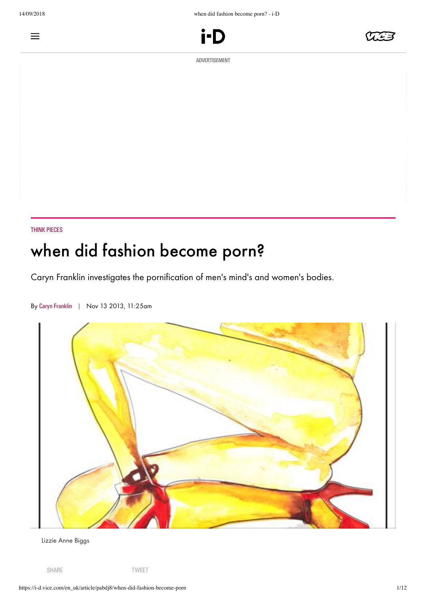$\equiv$ 





ADVERTISEMENT

## THINK [PIECES](https://i-d.vice.com/en_uk/topic/think-pieces)

# when did fashion become porn?

Caryn Franklin investigates the pornification of men's mind's and women's bodies.



By Caryn [Franklin](https://i-d.vice.com/en_uk/contributor/caryn-franklin) | Nov 13 2013, 11:25am

Lizzie Anne Biggs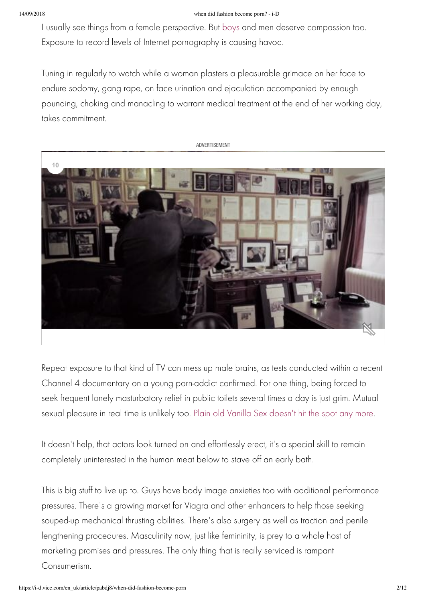### 14/09/2018 when did fashion become porn? - i-D

I usually see things from a female perspective. But [boys](http://i-d.vice.com/en_gb/look/fashion-stories/1003/boys-boys-boys) and men deserve compassion too. Exposure to record levels of Internet pornography is causing havoc.

Tuning in regularly to watch while a woman plasters a pleasurable grimace on her face to endure sodomy, gang rape, on face urination and ejaculation accompanied by enough pounding, choking and manacling to warrant medical treatment at the end of her working day, takes commitment.

ADVERTISEMENT



Repeat exposure to that kind of TV can mess up male brains, as tests conducted within a recent Channel 4 documentary on a young porn-addict confirmed. For one thing, being forced to seek frequent lonely masturbatory relief in public toilets several times a day is just grim. Mutual sexual pleasure in real time is unlikely too. [Plain old Vanilla Sex doesn't hit the spot any more.](http://i-d.vice.com/en_gb/read/think-pieces/863/i-sex-its-better-than-sex)

It doesn't help, that actors look turned on and effortlessly erect, it's a special skill to remain completely uninterested in the human meat below to stave off an early bath.

This is big stuff to live up to. Guys have body image anxieties too with additional performance pressures. There's a growing market for Viagra and other enhancers to help those seeking souped-up mechanical thrusting abilities. There's also surgery as well as traction and penile lengthening procedures. Masculinity now, just like femininity, is prey to a whole host of marketing promises and pressures. The only thing that is really serviced is rampant Consumerism.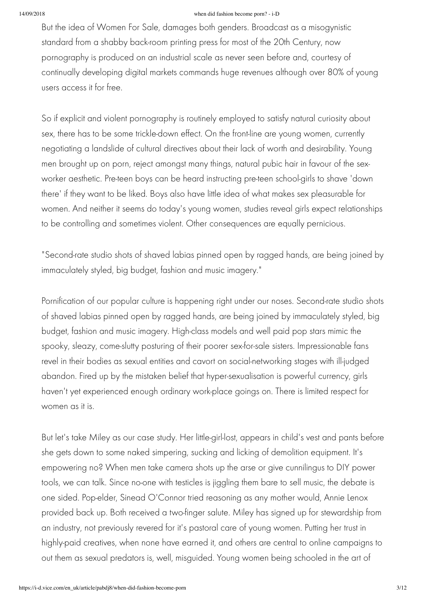#### 14/09/2018 when did fashion become porn? - i-D

But the idea of Women For Sale, damages both genders. Broadcast as a misogynistic standard from a shabby back-room printing press for most of the 20th Century, now pornography is produced on an industrial scale as never seen before and, courtesy of continually developing digital markets commands huge revenues although over 80% of young users access it for free.

So if explicit and violent pornography is routinely employed to satisfy natural curiosity about sex, there has to be some trickle-down effect. On the front-line are young women, currently negotiating a landslide of cultural directives about their lack of worth and desirability. Young men brought up on porn, reject amongst many things, natural pubic hair in favour of the sexworker aesthetic. Pre-teen boys can be heard instructing pre-teen school-girls to shave 'down there' if they want to be liked. Boys also have little idea of what makes sex pleasurable for women. And neither it seems do today's young women, studies reveal girls expect relationships to be controlling and sometimes violent. Other consequences are equally pernicious.

"Second-rate studio shots of shaved labias pinned open by ragged hands, are being joined by immaculately styled, big budget, fashion and music imagery."

Pornification of our popular culture is happening right under our noses. Second-rate studio shots of shaved labias pinned open by ragged hands, are being joined by immaculately styled, big budget, fashion and music imagery. High-class models and well paid pop stars mimic the spooky, sleazy, come-slutty posturing of their poorer sex-for-sale sisters. Impressionable fans revel in their bodies as sexual entities and cavort on social-networking stages with ill-judged abandon. Fired up by the mistaken belief that hyper-sexualisation is powerful currency, girls haven't yet experienced enough ordinary work-place goings on. There is limited respect for women as it is.

But let's take Miley as our case study. Her little-girl-lost, appears in child's vest and pants before she gets down to some naked simpering, sucking and licking of demolition equipment. It's empowering no? When men take camera shots up the arse or give cunnilingus to DIY power tools, we can talk. Since no-one with testicles is jiggling them bare to sell music, the debate is one sided. Pop-elder, Sinead O'Connor tried reasoning as any mother would, Annie Lenox provided back up. Both received a two-finger salute. Miley has signed up for stewardship from an industry, not previously revered for it's pastoral care of young women. Putting her trust in highly-paid creatives, when none have earned it, and others are central to online campaigns to out them as sexual predators is, well, misguided. Young women being schooled in the art of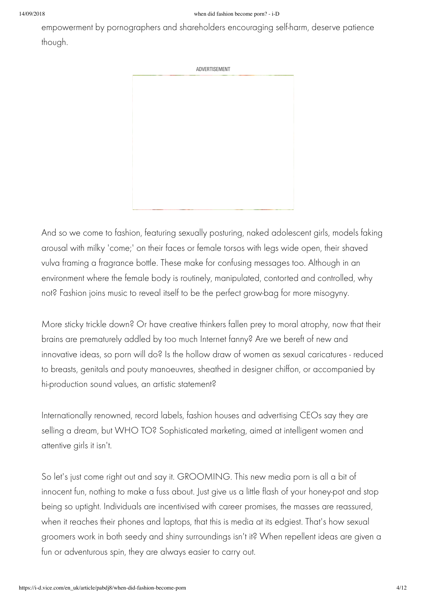empowerment by pornographers and shareholders encouraging self-harm, deserve patience though.

ADVERTISEMENT

And so we come to fashion, featuring sexually posturing, naked adolescent girls, models faking arousal with milky 'come;' on their faces or female torsos with legs wide open, their shaved vulva framing a fragrance bottle. These make for confusing messages too. Although in an environment where the female body is routinely, manipulated, contorted and controlled, why not? Fashion joins music to reveal itself to be the perfect grow-bag for more misogyny.

More sticky trickle down? Or have creative thinkers fallen prey to moral atrophy, now that their brains are prematurely addled by too much Internet fanny? Are we bereft of new and innovative ideas, so porn will do? Is the hollow draw of women as sexual caricatures - reduced to breasts, genitals and pouty manoeuvres, sheathed in designer chiffon, or accompanied by hi-production sound values, an artistic statement?

Internationally renowned, record labels, fashion houses and advertising CEOs say they are selling a dream, but WHO TO? Sophisticated marketing, aimed at intelligent women and attentive girls it isn't.

So let's just come right out and say it. GROOMING. This new media porn is all a bit of innocent fun, nothing to make a fuss about. Just give us a little flash of your honey-pot and stop being so uptight. Individuals are incentivised with career promises, the masses are reassured, when it reaches their phones and laptops, that this is media at its edgiest. That's how sexual groomers work in both seedy and shiny surroundings isn't it? When repellent ideas are given a fun or adventurous spin, they are always easier to carry out.